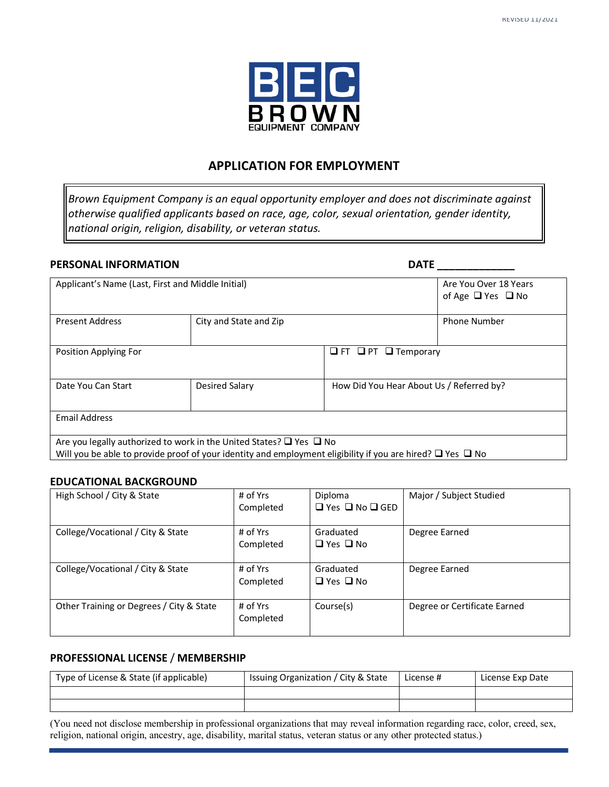

# **APPLICATION FOR EMPLOYMENT**

*Brown Equipment Company is an equal opportunity employer and does not discriminate against otherwise qualified applicants based on race, age, color, sexual orientation, gender identity, national origin, religion, disability, or veteran status.*

## **PERSONAL INFORMATION DATE** \_\_\_\_\_\_\_\_\_\_\_\_\_\_

| Applicant's Name (Last, First and Middle Initial) |                                                                               | Are You Over 18 Years<br>of Age $\Box$ Yes $\Box$ No                                                                                                                                                                              |
|---------------------------------------------------|-------------------------------------------------------------------------------|-----------------------------------------------------------------------------------------------------------------------------------------------------------------------------------------------------------------------------------|
| <b>Present Address</b>                            | City and State and Zip                                                        | <b>Phone Number</b>                                                                                                                                                                                                               |
| Position Applying For                             |                                                                               | $\Box$ FT $\Box$ PT $\Box$ Temporary                                                                                                                                                                                              |
| Date You Can Start                                | Desired Salary                                                                | How Did You Hear About Us / Referred by?                                                                                                                                                                                          |
| <b>Email Address</b>                              |                                                                               |                                                                                                                                                                                                                                   |
|                                                   | Are you legally authorized to work in the United States? $\Box$ Yes $\Box$ No | $\mathbf{u}$ , and the set of the contract of the contract of the contract of the contract of the contract of the contract of the contract of the contract of the contract of the contract of the contract of the contract of the |

Will you be able to provide proof of your identity and employment eligibility if you are hired?  $\Box$  Yes  $\Box$  No

# **EDUCATIONAL BACKGROUND**

| High School / City & State               | # of Yrs   | Diploma                         | Major / Subject Studied      |
|------------------------------------------|------------|---------------------------------|------------------------------|
|                                          | Completed  | $\Box$ Yes $\Box$ No $\Box$ GED |                              |
|                                          |            |                                 |                              |
| College/Vocational / City & State        | # of Yrs   | Graduated                       | Degree Earned                |
|                                          | Completed  | $\Box$ Yes $\Box$ No            |                              |
|                                          |            |                                 |                              |
| College/Vocational / City & State        | # of Yrs   | Graduated                       | Degree Earned                |
|                                          | Completed  | $\Box$ Yes $\Box$ No            |                              |
|                                          |            |                                 |                              |
| Other Training or Degrees / City & State | $#$ of Yrs | Course(s)                       | Degree or Certificate Earned |
|                                          | Completed  |                                 |                              |
|                                          |            |                                 |                              |
|                                          |            |                                 |                              |

# **PROFESSIONAL LICENSE** / **MEMBERSHIP**

| Type of License & State (if applicable) | Issuing Organization / City & State | License # | License Exp Date |
|-----------------------------------------|-------------------------------------|-----------|------------------|
|                                         |                                     |           |                  |
|                                         |                                     |           |                  |

(You need not disclose membership in professional organizations that may reveal information regarding race, color, creed, sex, religion, national origin, ancestry, age, disability, marital status, veteran status or any other protected status.)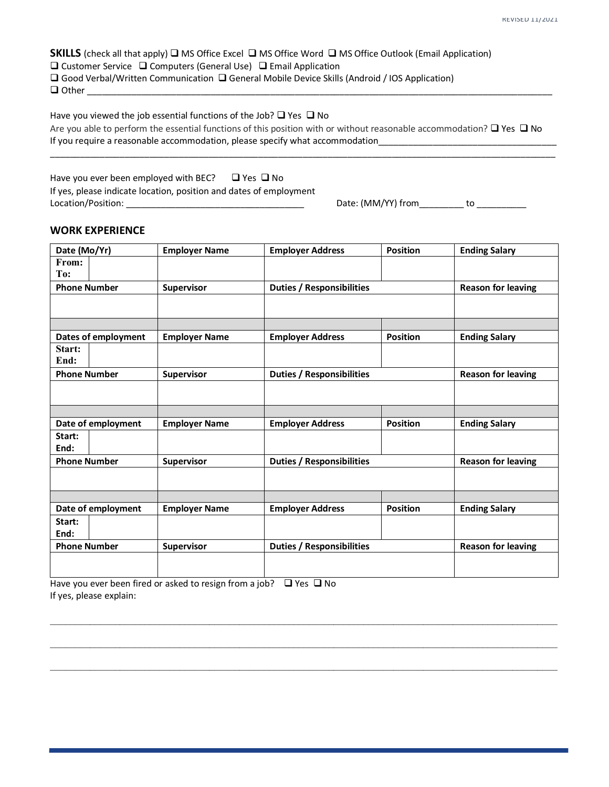**SKILLS** (check all that apply)  $\Box$  MS Office Excel  $\Box$  MS Office Word  $\Box$  MS Office Outlook (Email Application)  $\square$  Customer Service  $\square$  Computers (General Use)  $\square$  Email Application  $\square$  Good Verbal/Written Communication  $\square$  General Mobile Device Skills (Android / IOS Application)  $\Box$  Other

Have you viewed the job essential functions of the Job?  $\Box$  Yes  $\Box$  No Are you able to perform the essential functions of this position with or without reasonable accommodation?  $\Box$  Yes  $\Box$  No If you require a reasonable accommodation, please specify what accommodation

\_\_\_\_\_\_\_\_\_\_\_\_\_\_\_\_\_\_\_\_\_\_\_\_\_\_\_\_\_\_\_\_\_\_\_\_\_\_\_\_\_\_\_\_\_\_\_\_\_\_\_\_\_\_\_\_\_\_\_\_\_\_\_\_\_\_\_\_\_\_\_\_\_\_\_\_\_\_\_\_\_\_\_\_\_\_\_\_\_\_\_\_\_\_\_\_\_\_\_\_\_\_

Have you ever been employed with BEC?  $\Box$  Yes  $\Box$  No If yes, please indicate location, position and dates of employment Location/Position: \_\_\_\_\_\_\_\_\_\_\_\_\_\_\_\_\_\_\_\_\_\_\_\_\_\_\_\_\_\_\_\_\_\_\_\_ Date: (MM/YY) from\_\_\_\_\_\_\_\_\_ to \_\_\_\_\_\_\_\_\_\_

#### **WORK EXPERIENCE**

| Date (Mo/Yr)        | <b>Employer Name</b> | <b>Employer Address</b>          | <b>Position</b> | <b>Ending Salary</b>      |
|---------------------|----------------------|----------------------------------|-----------------|---------------------------|
| From:               |                      |                                  |                 |                           |
| To:                 |                      |                                  |                 |                           |
| <b>Phone Number</b> | <b>Supervisor</b>    | <b>Duties / Responsibilities</b> |                 | <b>Reason for leaving</b> |
|                     |                      |                                  |                 |                           |
|                     |                      |                                  |                 |                           |
|                     |                      |                                  |                 |                           |
| Dates of employment | <b>Employer Name</b> | <b>Employer Address</b>          | <b>Position</b> | <b>Ending Salary</b>      |
| Start:              |                      |                                  |                 |                           |
| End:                |                      |                                  |                 |                           |
| <b>Phone Number</b> | Supervisor           | <b>Duties / Responsibilities</b> |                 | <b>Reason for leaving</b> |
|                     |                      |                                  |                 |                           |
|                     |                      |                                  |                 |                           |
|                     |                      |                                  |                 |                           |
| Date of employment  | <b>Employer Name</b> | <b>Employer Address</b>          | <b>Position</b> | <b>Ending Salary</b>      |
| Start:              |                      |                                  |                 |                           |
| End:                |                      |                                  |                 |                           |
| <b>Phone Number</b> | Supervisor           | <b>Duties / Responsibilities</b> |                 | <b>Reason for leaving</b> |
|                     |                      |                                  |                 |                           |
|                     |                      |                                  |                 |                           |
|                     |                      |                                  |                 |                           |
| Date of employment  | <b>Employer Name</b> | <b>Employer Address</b>          | <b>Position</b> | <b>Ending Salary</b>      |
| Start:              |                      |                                  |                 |                           |
| End:                |                      |                                  |                 |                           |
| <b>Phone Number</b> | Supervisor           | <b>Duties / Responsibilities</b> |                 | <b>Reason for leaving</b> |
|                     |                      |                                  |                 |                           |
|                     |                      |                                  |                 |                           |

 $\mathcal{L}_\mathcal{L} = \{ \mathcal{L}_\mathcal{L} = \{ \mathcal{L}_\mathcal{L} = \{ \mathcal{L}_\mathcal{L} = \{ \mathcal{L}_\mathcal{L} = \{ \mathcal{L}_\mathcal{L} = \{ \mathcal{L}_\mathcal{L} = \{ \mathcal{L}_\mathcal{L} = \{ \mathcal{L}_\mathcal{L} = \{ \mathcal{L}_\mathcal{L} = \{ \mathcal{L}_\mathcal{L} = \{ \mathcal{L}_\mathcal{L} = \{ \mathcal{L}_\mathcal{L} = \{ \mathcal{L}_\mathcal{L} = \{ \mathcal{L}_\mathcal{$ 

 $\mathcal{L}_\mathcal{L} = \{ \mathcal{L}_\mathcal{L} = \{ \mathcal{L}_\mathcal{L} = \{ \mathcal{L}_\mathcal{L} = \{ \mathcal{L}_\mathcal{L} = \{ \mathcal{L}_\mathcal{L} = \{ \mathcal{L}_\mathcal{L} = \{ \mathcal{L}_\mathcal{L} = \{ \mathcal{L}_\mathcal{L} = \{ \mathcal{L}_\mathcal{L} = \{ \mathcal{L}_\mathcal{L} = \{ \mathcal{L}_\mathcal{L} = \{ \mathcal{L}_\mathcal{L} = \{ \mathcal{L}_\mathcal{L} = \{ \mathcal{L}_\mathcal{$ 

 $\mathcal{L}_\text{max} = \frac{1}{2} \sum_{i=1}^n \mathcal{L}_\text{max} = \frac{1}{2} \sum_{i=1}^n \mathcal{L}_\text{max} = \frac{1}{2} \sum_{i=1}^n \mathcal{L}_\text{max} = \frac{1}{2} \sum_{i=1}^n \mathcal{L}_\text{max} = \frac{1}{2} \sum_{i=1}^n \mathcal{L}_\text{max} = \frac{1}{2} \sum_{i=1}^n \mathcal{L}_\text{max} = \frac{1}{2} \sum_{i=1}^n \mathcal{L}_\text{max} = \frac{1}{2} \sum_{i=$ 

Have you ever been fired or asked to resign from a job?  $\Box$  Yes  $\Box$  No If yes, please explain: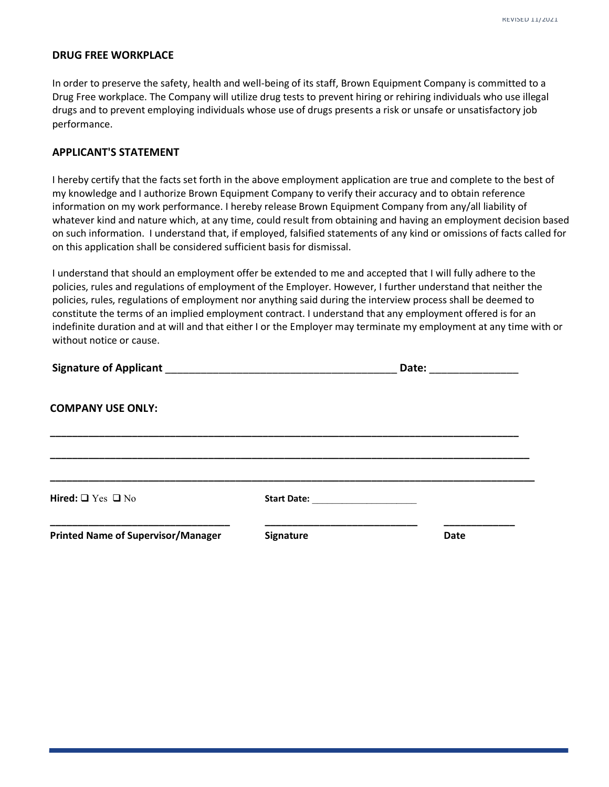#### **DRUG FREE WORKPLACE**

In order to preserve the safety, health and well-being of its staff, Brown Equipment Company is committed to a Drug Free workplace. The Company will utilize drug tests to prevent hiring or rehiring individuals who use illegal drugs and to prevent employing individuals whose use of drugs presents a risk or unsafe or unsatisfactory job performance.

#### **APPLICANT'S STATEMENT**

I hereby certify that the facts set forth in the above employment application are true and complete to the best of my knowledge and I authorize Brown Equipment Company to verify their accuracy and to obtain reference information on my work performance. I hereby release Brown Equipment Company from any/all liability of whatever kind and nature which, at any time, could result from obtaining and having an employment decision based on such information. I understand that, if employed, falsified statements of any kind or omissions of facts called for on this application shall be considered sufficient basis for dismissal.

I understand that should an employment offer be extended to me and accepted that I will fully adhere to the policies, rules and regulations of employment of the Employer. However, I further understand that neither the policies, rules, regulations of employment nor anything said during the interview process shall be deemed to constitute the terms of an implied employment contract. I understand that any employment offered is for an indefinite duration and at will and that either I or the Employer may terminate my employment at any time with or without notice or cause.

|                                           |                             |      | Date: ______________ |  |  |
|-------------------------------------------|-----------------------------|------|----------------------|--|--|
| <b>COMPANY USE ONLY:</b>                  |                             |      |                      |  |  |
| Hired: $\Box$ Yes $\Box$ No               | Start Date: The Start Date: |      |                      |  |  |
| <b>Printed Name of Supervisor/Manager</b> | Signature                   | Date |                      |  |  |